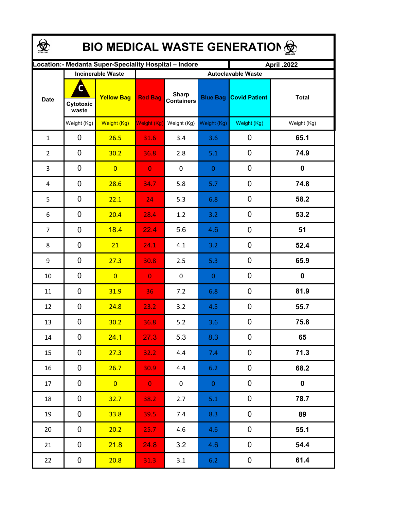| <b>BIO MEDICAL WASTE GENERATION </b> |                         |                                                       |                |                                   |                 |                                                   |              |  |  |  |
|--------------------------------------|-------------------------|-------------------------------------------------------|----------------|-----------------------------------|-----------------|---------------------------------------------------|--------------|--|--|--|
|                                      |                         | ocation: - Medanta Super-Speciality Hospital - Indore |                |                                   |                 | April .2022                                       |              |  |  |  |
| <b>Date</b>                          | C<br>Cytotoxic<br>waste | <b>Incinerable Waste</b><br><b>Yellow Bag</b>         | <b>Red Bag</b> | <b>Sharp</b><br><b>Containers</b> | <b>Blue Bag</b> | <b>Autoclavable Waste</b><br><b>Covid Patient</b> | <b>Total</b> |  |  |  |
|                                      | Weight (Kg)             | Weight (Kg)                                           | Weight (Kg)    | Weight (Kg)                       | Weight (Kg)     | Weight (Kg)                                       | Weight (Kg)  |  |  |  |
| $\mathbf{1}$                         | 0                       | 26.5                                                  | 31.6           | 3.4                               | 3.6             | 0                                                 | 65.1         |  |  |  |
| $\overline{2}$                       | 0                       | 30.2                                                  | 36.8           | 2.8                               | 5.1             | 0                                                 | 74.9         |  |  |  |
| 3                                    | 0                       | $\overline{0}$                                        | $\overline{0}$ | $\boldsymbol{0}$                  | $\mathbf{0}$    | $\boldsymbol{0}$                                  | $\mathbf 0$  |  |  |  |
| 4                                    | 0                       | 28.6                                                  | 34.7           | 5.8                               | 5.7             | 0                                                 | 74.8         |  |  |  |
| 5                                    | 0                       | 22.1                                                  | 24             | 5.3                               | 6.8             | 0                                                 | 58.2         |  |  |  |
| 6                                    | 0                       | 20.4                                                  | 28.4           | 1.2                               | 3.2             | 0                                                 | 53.2         |  |  |  |
| $\overline{7}$                       | 0                       | 18.4                                                  | 22.4           | 5.6                               | 4.6             | $\boldsymbol{0}$                                  | 51           |  |  |  |
| 8                                    | 0                       | 21                                                    | 24.1           | 4.1                               | 3.2             | 0                                                 | 52.4         |  |  |  |
| 9                                    | $\mathbf 0$             | 27.3                                                  | 30.8           | 2.5                               | 5.3             | 0                                                 | 65.9         |  |  |  |
| 10                                   | $\mathbf 0$             | $\overline{0}$                                        | $\overline{0}$ | 0                                 | $\mathbf{0}$    | 0                                                 | $\mathbf 0$  |  |  |  |
| 11                                   | $\mathbf 0$             | 31.9                                                  | 36             | 7.2                               | 6.8             | $\mathbf 0$                                       | 81.9         |  |  |  |
| 12                                   | 0                       | 24.8                                                  | 23.2           | 3.2                               | 4.5             | $\boldsymbol{0}$                                  | 55.7         |  |  |  |
| 13                                   | 0                       | 30.2                                                  | 36.8           | $5.2$                             | 3.6             | 0                                                 | 75.8         |  |  |  |
| 14                                   | 0                       | 24.1                                                  | 27.3           | 5.3                               | 8.3             | 0                                                 | 65           |  |  |  |
| 15                                   | 0                       | 27.3                                                  | 32.2           | 4.4                               | 7.4             | $\mathbf 0$                                       | 71.3         |  |  |  |
| 16                                   | 0                       | 26.7                                                  | 30.9           | 4.4                               | 6.2             | 0                                                 | 68.2         |  |  |  |
| 17                                   | 0                       | $\overline{0}$                                        | $\mathbf{0}$   | $\mathbf 0$                       | $\overline{0}$  | $\pmb{0}$                                         | $\mathbf 0$  |  |  |  |
| 18                                   | 0                       | 32.7                                                  | 38.2           | 2.7                               | 5.1             | $\pmb{0}$                                         | 78.7         |  |  |  |
| 19                                   | 0                       | 33.8                                                  | 39.5           | 7.4                               | 8.3             | 0                                                 | 89           |  |  |  |
| 20                                   | 0                       | 20.2                                                  | 25.7           | 4.6                               | 4.6             | 0                                                 | 55.1         |  |  |  |
| 21                                   | 0                       | 21.8                                                  | 24.8           | 3.2                               | 4.6             | 0                                                 | 54.4         |  |  |  |
| 22                                   | $\boldsymbol{0}$        | 20.8                                                  | 31.3           | 3.1                               | 6.2             | $\boldsymbol{0}$                                  | 61.4         |  |  |  |